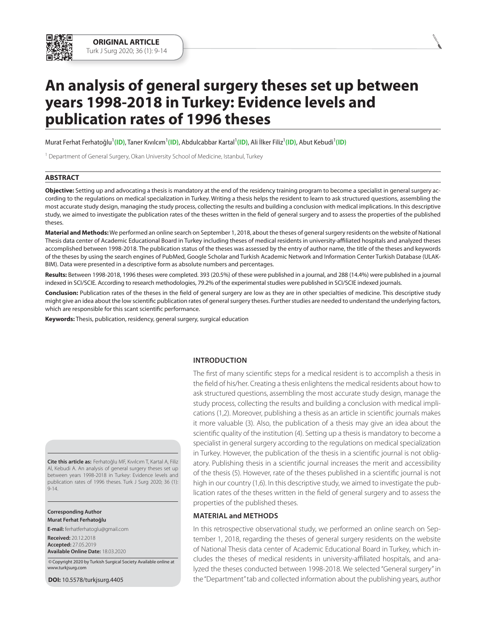

Murat Ferhat Ferhatoğlu<sup>1</sup>(ID), Taner Kıvılcım<sup>1</sup>(ID), Abdulcabbar Kartal<sup>1</sup>(ID), Ali İlker Filiz<sup>1</sup>(ID), Abut Kebudi<sup>1</sup>(ID)

<sup>1</sup> Department of General Surgery, Okan University School of Medicine, Istanbul, Turkey

## **ABSTRACT**

**Objective:** Setting up and advocating a thesis is mandatory at the end of the residency training program to become a specialist in general surgery according to the regulations on medical specialization in Turkey. Writing a thesis helps the resident to learn to ask structured questions, assembling the most accurate study design, managing the study process, collecting the results and building a conclusion with medical implications. In this descriptive study, we aimed to investigate the publication rates of the theses written in the field of general surgery and to assess the properties of the published theses.

**Material and Methods:** We performed an online search on September 1, 2018, about the theses of general surgery residents on the website of National Thesis data center of Academic Educational Board in Turkey including theses of medical residents in university-affiliated hospitals and analyzed theses accomplished between 1998-2018. The publication status of the theses was assessed by the entry of author name, the title of the theses and keywords of the theses by using the search engines of PubMed, Google Scholar and Turkish Academic Network and Information Center Turkish Database (ULAK-BIM). Data were presented in a descriptive form as absolute numbers and percentages.

**Results:** Between 1998-2018, 1996 theses were completed. 393 (20.5%) of these were published in a journal, and 288 (14.4%) were published in a journal indexed in SCI/SCIE. According to research methodologies, 79.2% of the experimental studies were published in SCI/SCIE indexed journals.

**Conclusion:** Publication rates of the theses in the field of general surgery are low as they are in other specialties of medicine. This descriptive study might give an idea about the low scientific publication rates of general surgery theses. Further studies are needed to understand the underlying factors, which are responsible for this scant scientific performance.

**Keywords:** Thesis, publication, residency, general surgery, surgical education

## **IntRODuCtIOn**

ask structured questions, assembling the most accurate study design, manage the study process, collecting the results and building a conclusion with medical implications (1,2). Moreover, publishing a thesis as an article in scientific journals makes it more valuable (3). Also, the publication of a thesis may give an idea about the scientific quality of the institution (4). Setting up a thesis is mandatory to become a specialist in general surgery according to the regulations on medical specialization in Turkey. However, the publication of the thesis in a scientific journal is not obligatory. Publishing thesis in a scientific journal increases the merit and accessibility of the thesis (5). However, rate of the theses published in a scientific journal is not high in our country (1,6). In this descriptive study, we aimed to investigate the publication rates of the theses written in the field of general surgery and to assess the properties of the published theses.

The first of many scientific steps for a medical resident is to accomplish a thesis in the field of his/her. Creating a thesis enlightens the medical residents about how to

**MAtERIAl and MEthODs**

In this retrospective observational study, we performed an online search on September 1, 2018, regarding the theses of general surgery residents on the website of National Thesis data center of Academic Educational Board in Turkey, which includes the theses of medical residents in university-affiliated hospitals, and analyzed the theses conducted between 1998-2018. We selected "General surgery" in the "Department" tab and collected information about the publishing years, author

**Cite this article as:** Ferhatoğlu MF, Kıvılcım T, Kartal A, Filiz Aİ, Kebudi A. An analysis of general surgery theses set up between years 1998-2018 in Turkey: Evidence levels and publication rates of 1996 theses. Turk J Surg 2020; 36 (1): 9-14.

**Corresponding Author Murat Ferhat Ferhatoğlu**

**E-mail:** ferhatferhatoglu@gmail.com

**Received:** 20.12.2018 **Accepted:** 27.05.2019 **Available Online Date:** 18.03.2020

 ©Copyright 2020 by Turkish Surgical Society Available online at www.turkjsurg.com

**DOI:** 10.5578/turkjsurg.4405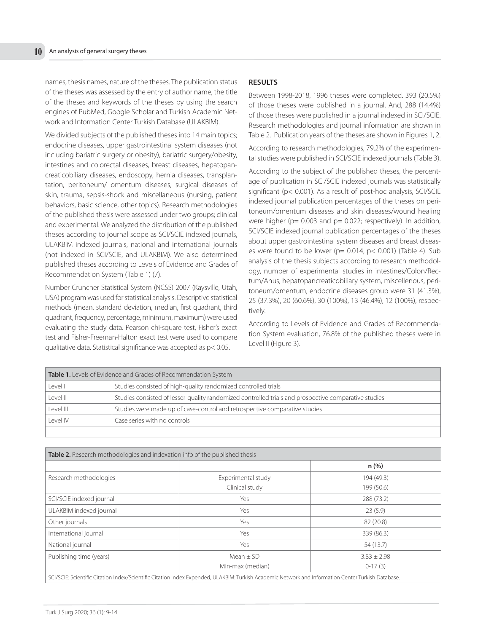names, thesis names, nature of the theses. The publication status of the theses was assessed by the entry of author name, the title of the theses and keywords of the theses by using the search engines of PubMed, Google Scholar and Turkish Academic Network and Information Center Turkish Database (ULAKBIM).

We divided subjects of the published theses into 14 main topics; endocrine diseases, upper gastrointestinal system diseases (not including bariatric surgery or obesity), bariatric surgery/obesity, intestines and colorectal diseases, breast diseases, hepatopancreaticobiliary diseases, endoscopy, hernia diseases, transplantation, peritoneum/ omentum diseases, surgical diseases of skin, trauma, sepsis-shock and miscellaneous (nursing, patient behaviors, basic science, other topics). Research methodologies of the published thesis were assessed under two groups; clinical and experimental. We analyzed the distribution of the published theses according to journal scope as SCI/SCIE indexed journals, ULAKBIM indexed journals, national and international journals (not indexed in SCI/SCIE, and ULAKBIM). We also determined published theses according to Levels of Evidence and Grades of Recommendation System (Table 1) (7).

Number Cruncher Statistical System (NCSS) 2007 (Kaysville, Utah, USA) program was used for statistical analysis. Descriptive statistical methods (mean, standard deviation, median, first quadrant, third quadrant, frequency, percentage, minimum, maximum) were used evaluating the study data. Pearson chi-square test, Fisher's exact test and Fisher-Freeman-Halton exact test were used to compare qualitative data. Statistical significance was accepted as p< 0.05.

# **REsults**

Between 1998-2018, 1996 theses were completed. 393 (20.5%) of those theses were published in a journal. And, 288 (14.4%) of those theses were published in a journal indexed in SCI/SCIE. Research methodologies and journal information are shown in Table 2. Publication years of the theses are shown in Figures 1, 2.

According to research methodologies, 79.2% of the experimental studies were published in SCI/SCIE indexed journals (Table 3).

According to the subject of the published theses, the percentage of publication in SCI/SCIE indexed journals was statistically significant (p< 0.001). As a result of post-hoc analysis, SCI/SCIE indexed journal publication percentages of the theses on peritoneum/omentum diseases and skin diseases/wound healing were higher (p= 0.003 and p= 0.022; respectively). In addition, SCI/SCIE indexed journal publication percentages of the theses about upper gastrointestinal system diseases and breast diseases were found to be lower (p= 0.014, p< 0.001) (Table 4). Sub analysis of the thesis subjects according to research methodology, number of experimental studies in intestines/Colon/Rectum/Anus, hepatopancreaticobiliary system, miscellenous, peritoneum/omentum, endocrine diseases group were 31 (41.3%), 25 (37.3%), 20 (60.6%), 30 (100%), 13 (46.4%), 12 (100%), respectively.

According to Levels of Evidence and Grades of Recommendation System evaluation, 76.8% of the published theses were in Level II (Figure 3).

| Table 1. Levels of Evidence and Grades of Recommendation System |                                                                                                      |  |  |  |  |
|-----------------------------------------------------------------|------------------------------------------------------------------------------------------------------|--|--|--|--|
| Level I                                                         | Studies consisted of high-quality randomized controlled trials                                       |  |  |  |  |
| Level II                                                        | Studies consisted of lesser-quality randomized controlled trials and prospective comparative studies |  |  |  |  |
| l evel III                                                      | Studies were made up of case-control and retrospective comparative studies                           |  |  |  |  |
| l evel IV                                                       | Case series with no controls                                                                         |  |  |  |  |
|                                                                 |                                                                                                      |  |  |  |  |

| Table 2. Research methodologies and indexation info of the published thesis                                                                        |                    |                 |  |  |  |  |  |
|----------------------------------------------------------------------------------------------------------------------------------------------------|--------------------|-----------------|--|--|--|--|--|
|                                                                                                                                                    |                    | n(%)            |  |  |  |  |  |
| Research methodologies                                                                                                                             | Experimental study | 194 (49.3)      |  |  |  |  |  |
|                                                                                                                                                    | Clinical study     | 199 (50.6)      |  |  |  |  |  |
| SCI/SCIE indexed journal                                                                                                                           | Yes                | 288 (73.2)      |  |  |  |  |  |
| ULAKBIM indexed journal                                                                                                                            | Yes                | 23(5.9)         |  |  |  |  |  |
| Other journals                                                                                                                                     | Yes                | 82 (20.8)       |  |  |  |  |  |
| International journal                                                                                                                              | Yes                | 339 (86.3)      |  |  |  |  |  |
| National journal                                                                                                                                   | Yes                | 54 (13.7)       |  |  |  |  |  |
| Publishing time (years)                                                                                                                            | Mean $\pm$ SD      | $3.83 \pm 2.98$ |  |  |  |  |  |
|                                                                                                                                                    | Min-max (median)   | $0-17(3)$       |  |  |  |  |  |
| SCI/SCIE: Scientific Citation Index/Scientific Citation Index Expended, ULAKBIM: Turkish Academic Network and Information Center Turkish Database. |                    |                 |  |  |  |  |  |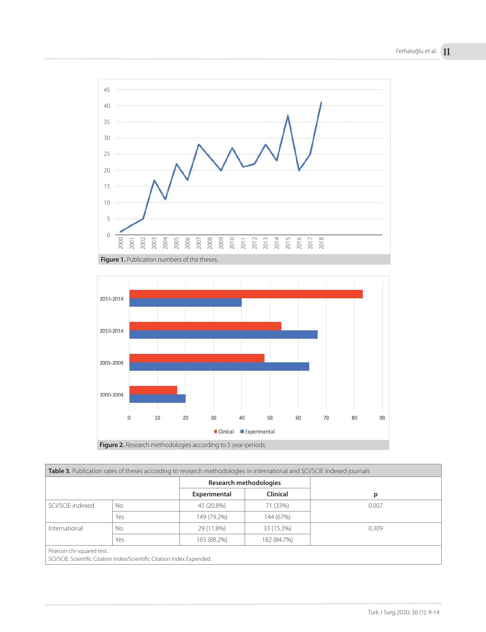



| Table 3. Publication rates of theses according to research methodologies in international and SCI/SCIE indexed journals |     |                               |                 |       |  |  |  |
|-------------------------------------------------------------------------------------------------------------------------|-----|-------------------------------|-----------------|-------|--|--|--|
|                                                                                                                         |     | <b>Research methodologies</b> |                 |       |  |  |  |
|                                                                                                                         |     | Experimental                  | <b>Clinical</b> | p     |  |  |  |
| SCI/SCIE indexed                                                                                                        | No  | 45 (20.8%)                    | 71 (33%)        | 0.007 |  |  |  |
|                                                                                                                         | Yes | 149 (79.2%)                   | 144 (67%)       |       |  |  |  |
| International                                                                                                           | No  | 29 (11.8%)                    | 33 (15.3%)      | 0.309 |  |  |  |
|                                                                                                                         | Yes | 165 (88.2%)                   | 182 (84.7%)     |       |  |  |  |
| Pearson chi-squared test.                                                                                               |     |                               |                 |       |  |  |  |
| SCI/SCIE: Scientific Citation Index/Scientific Citation Index Expended.                                                 |     |                               |                 |       |  |  |  |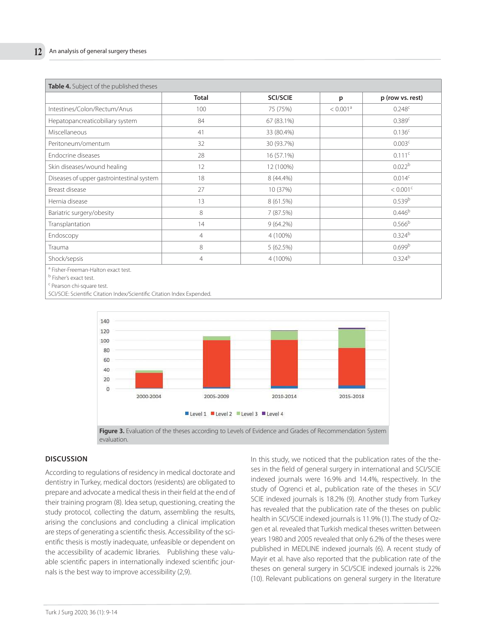| Table 4. Subject of the published theses  |                |                 |                      |                        |  |  |  |
|-------------------------------------------|----------------|-----------------|----------------------|------------------------|--|--|--|
|                                           | <b>Total</b>   | <b>SCI/SCIE</b> | р                    | p (row vs. rest)       |  |  |  |
| Intestines/Colon/Rectum/Anus              | 100            | 75 (75%)        | < 0.001 <sup>a</sup> | $0.248^c$              |  |  |  |
| Hepatopancreaticobiliary system           | 84             | 67 (83.1%)      |                      | 0.389c                 |  |  |  |
| Miscellaneous                             | 41             | 33 (80.4%)      |                      | 0.136 <sup>c</sup>     |  |  |  |
| Peritoneum/omentum                        | 32             | 30 (93.7%)      |                      | 0.003 <sup>c</sup>     |  |  |  |
| Endocrine diseases                        | 28             | 16 (57.1%)      |                      | $0.111$ <sup>c</sup>   |  |  |  |
| Skin diseases/wound healing               | 12             | 12 (100%)       |                      | 0.022 <sup>b</sup>     |  |  |  |
| Diseases of upper gastrointestinal system | 18             | 8 (44.4%)       |                      | 0.014 <sup>c</sup>     |  |  |  |
| Breast disease                            | 27             | 10 (37%)        |                      | $< 0.001$ <sup>c</sup> |  |  |  |
| Hernia disease                            | 13             | 8(61.5%)        |                      | 0.539 <sup>b</sup>     |  |  |  |
| Bariatric surgery/obesity                 | 8              | 7 (87.5%)       |                      | $0.446^{b}$            |  |  |  |
| Transplantation                           | 14             | $9(64.2\%)$     |                      | 0.566 <sup>b</sup>     |  |  |  |
| Endoscopy                                 | 4              | 4 (100%)        |                      | $0.324^{b}$            |  |  |  |
| Trauma                                    | 8              | 5(62.5%)        |                      | 0.699 <sup>b</sup>     |  |  |  |
| Shock/sepsis                              | $\overline{4}$ | 4 (100%)        |                      | $0.324^{b}$            |  |  |  |
| $2.001 - 0.001 - 0.001$                   |                |                 |                      |                        |  |  |  |

a Fisher-Freeman-Halton exact test.

<sup>b</sup> Fisher's exact test.

<sup>c</sup> Pearson chi-square test.

SCI/SCIE: Scientific Citation Index/Scientific Citation Index Expended.





## **DIsCussIOn**

According to regulations of residency in medical doctorate and dentistry in Turkey, medical doctors (residents) are obligated to prepare and advocate a medical thesis in their field at the end of their training program (8). Idea setup, questioning, creating the study protocol, collecting the datum, assembling the results, arising the conclusions and concluding a clinical implication are steps of generating a scientific thesis. Accessibility of the scientific thesis is mostly inadequate, unfeasible or dependent on the accessibility of academic libraries. Publishing these valuable scientific papers in internationally indexed scientific journals is the best way to improve accessibility (2,9).

In this study, we noticed that the publication rates of the theses in the field of general surgery in international and SCI/SCIE indexed journals were 16.9% and 14.4%, respectively. In the study of Ogrenci et al., publication rate of the theses in SCI/ SCIE indexed journals is 18.2% (9). Another study from Turkey has revealed that the publication rate of the theses on public health in SCI/SCIE indexed journals is 11.9% (1). The study of Ozgen et al. revealed that Turkish medical theses written between years 1980 and 2005 revealed that only 6.2% of the theses were published in MEDLINE indexed journals (6). A recent study of Mayir et al. have also reported that the publication rate of the theses on general surgery in SCI/SCIE indexed journals is 22% (10). Relevant publications on general surgery in the literature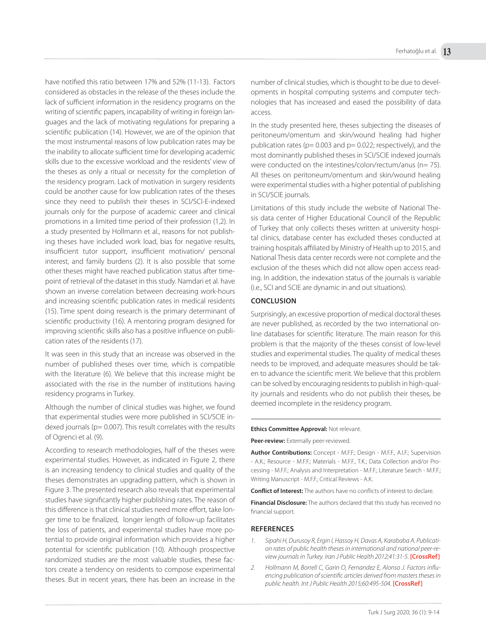have notified this ratio between 17% and 52% (11-13). Factors considered as obstacles in the release of the theses include the lack of sufficient information in the residency programs on the writing of scientific papers, incapability of writing in foreign languages and the lack of motivating regulations for preparing a scientific publication (14). However, we are of the opinion that the most instrumental reasons of low publication rates may be the inability to allocate sufficient time for developing academic skills due to the excessive workload and the residents' view of the theses as only a ritual or necessity for the completion of the residency program. Lack of motivation in surgery residents could be another cause for low publication rates of the theses since they need to publish their theses in SCI/SCI-E-indexed journals only for the purpose of academic career and clinical promotions in a limited time period of their profession (1,2). In a study presented by Hollmann et al., reasons for not publishing theses have included work load, bias for negative results, insufficient tutor support, insufficient motivation/ personal interest, and family burdens (2). It is also possible that some other theses might have reached publication status after timepoint of retrieval of the dataset in this study. Namdari et al. have shown an inverse correlation between decreasing work-hours and increasing scientific publication rates in medical residents (15). Time spent doing research is the primary determinant of scientific productivity (16). A mentoring program designed for improving scientific skills also has a positive influence on publication rates of the residents (17).

It was seen in this study that an increase was observed in the number of published theses over time, which is compatible with the literature (6). We believe that this increase might be associated with the rise in the number of institutions having residency programs in Turkey.

Although the number of clinical studies was higher, we found that experimental studies were more published in SCI/SCIE indexed journals ( $p= 0.007$ ). This result correlates with the results of Ogrenci et al. (9).

According to research methodologies, half of the theses were experimental studies. However, as indicated in Figure 2, there is an increasing tendency to clinical studies and quality of the theses demonstrates an upgrading pattern, which is shown in Figure 3. The presented research also reveals that experimental studies have significantly higher publishing rates. The reason of this difference is that clinical studies need more effort, take longer time to be finalized, longer length of follow-up facilitates the loss of patients, and experimental studies have more potential to provide original information which provides a higher potential for scientific publication (10). Although prospective randomized studies are the most valuable studies, these factors create a tendency on residents to compose experimental theses. But in recent years, there has been an increase in the

number of clinical studies, which is thought to be due to developments in hospital computing systems and computer technologies that has increased and eased the possibility of data access.

In the study presented here, theses subjecting the diseases of peritoneum/omentum and skin/wound healing had higher publication rates ( $p= 0.003$  and  $p= 0.022$ ; respectively), and the most dominantly published theses in SCI/SCIE indexed journals were conducted on the intestines/colon/rectum/anus (n= 75). All theses on peritoneum/omentum and skin/wound healing were experimental studies with a higher potential of publishing in SCI/SCIE journals.

Limitations of this study include the website of National Thesis data center of Higher Educational Council of the Republic of Turkey that only collects theses written at university hospital clinics, database center has excluded theses conducted at training hospitals affiliated by Ministry of Health up to 2015, and National Thesis data center records were not complete and the exclusion of the theses which did not allow open access reading. In addition, the indexation status of the journals is variable (i.e., SCI and SCIE are dynamic in and out situations).

# **COnClusIOn**

Surprisingly, an excessive proportion of medical doctoral theses are never published, as recorded by the two international online databases for scientific literature. The main reason for this problem is that the majority of the theses consist of low-level studies and experimental studies. The quality of medical theses needs to be improved, and adequate measures should be taken to advance the scientific merit. We believe that this problem can be solved by encouraging residents to publish in high-quality journals and residents who do not publish their theses, be deemed incomplete in the residency program.

#### **Ethics Committee Approval:** Not relevant.

**Peer-review:** Externally peer-reviewed.

**Author Contributions:** Concept - M.F.F.; Design - M.F.F., A.I.F.; Supervision - A.K.; Resource - M.F.F.; Materials - M.F.F., T.K.; Data Collection and/or Processing - M.F.F.; Analysis and Interpretation - M.F.F.; Literature Search - M.F.F.; Writing Manuscript - M.F.F.; Critical Reviews - A.K.

**Conflict of Interest:** The authors have no conflicts of interest to declare.

**Financial Disclosure:** The authors declared that this study has received no financial support.

# **REFEREnCEs**

- 1. Sipahi H, Durusoy R, Ergin I, Hassoy H, Davas A, Karababa A. Publication rates of public health theses in international and national peer-review journals in Turkey. Iran J Public Health 2012;41:31-5. **[CrossRef]**
- 2. Hollmann M, Borrell C, Garin O, Fernandez E, Alonso J. Factors influencing publication of scientific articles derived from masters theses in public health. Int J Public Health 2015;60:495-504. **[CrossRef]**